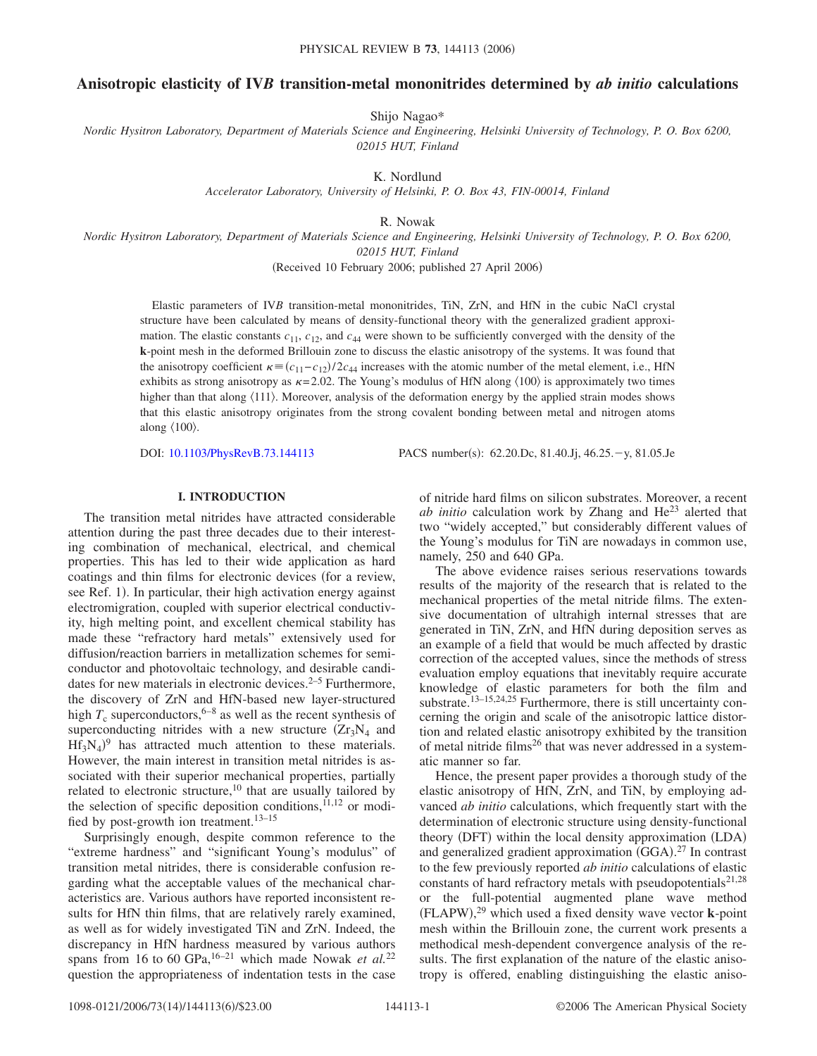# **Anisotropic elasticity of IV***B* **transition-metal mononitrides determined by** *ab initio* **calculations**

Shijo Nagao\*

*Nordic Hysitron Laboratory, Department of Materials Science and Engineering, Helsinki University of Technology, P. O. Box 6200, 02015 HUT, Finland*

K. Nordlund

*Accelerator Laboratory, University of Helsinki, P. O. Box 43, FIN-00014, Finland*

R. Nowak

*Nordic Hysitron Laboratory, Department of Materials Science and Engineering, Helsinki University of Technology, P. O. Box 6200, 02015 HUT, Finland*

(Received 10 February 2006; published 27 April 2006)

Elastic parameters of IV*B* transition-metal mononitrides, TiN, ZrN, and HfN in the cubic NaCl crystal structure have been calculated by means of density-functional theory with the generalized gradient approximation. The elastic constants  $c_{11}$ ,  $c_{12}$ , and  $c_{44}$  were shown to be sufficiently converged with the density of the **k**-point mesh in the deformed Brillouin zone to discuss the elastic anisotropy of the systems. It was found that the anisotropy coefficient  $\kappa = (c_{11} - c_{12})/2c_{44}$  increases with the atomic number of the metal element, i.e., HfN exhibits as strong anisotropy as  $\kappa$ =2.02. The Young's modulus of HfN along  $\langle 100 \rangle$  is approximately two times higher than that along  $\langle 111 \rangle$ . Moreover, analysis of the deformation energy by the applied strain modes shows that this elastic anisotropy originates from the strong covalent bonding between metal and nitrogen atoms along  $\langle 100 \rangle$ .

DOI: [10.1103/PhysRevB.73.144113](http://dx.doi.org/10.1103/PhysRevB.73.144113)

: 62.20.Dc, 81.40.Jj, 46.25.-y, 81.05.Je

# **I. INTRODUCTION**

The transition metal nitrides have attracted considerable attention during the past three decades due to their interesting combination of mechanical, electrical, and chemical properties. This has led to their wide application as hard coatings and thin films for electronic devices (for a review, see Ref. 1). In particular, their high activation energy against electromigration, coupled with superior electrical conductivity, high melting point, and excellent chemical stability has made these "refractory hard metals" extensively used for diffusion/reaction barriers in metallization schemes for semiconductor and photovoltaic technology, and desirable candidates for new materials in electronic devices. $2-5$  Furthermore, the discovery of ZrN and HfN-based new layer-structured high  $T_c$  superconductors,<sup>6–8</sup> as well as the recent synthesis of superconducting nitrides with a new structure  $(Zr_3N_4$  and  $Hf_3N_4$ <sup>9</sup> has attracted much attention to these materials. However, the main interest in transition metal nitrides is associated with their superior mechanical properties, partially related to electronic structure, $10$  that are usually tailored by the selection of specific deposition conditions, $^{11,12}$  or modified by post-growth ion treatment.<sup>13-15</sup>

Surprisingly enough, despite common reference to the "extreme hardness" and "significant Young's modulus" of transition metal nitrides, there is considerable confusion regarding what the acceptable values of the mechanical characteristics are. Various authors have reported inconsistent results for HfN thin films, that are relatively rarely examined, as well as for widely investigated TiN and ZrN. Indeed, the discrepancy in HfN hardness measured by various authors spans from 16 to 60 GPa,<sup>16-21</sup> which made Nowak *et al.*<sup>22</sup> question the appropriateness of indentation tests in the case of nitride hard films on silicon substrates. Moreover, a recent *ab initio* calculation work by Zhang and He<sup>23</sup> alerted that two "widely accepted," but considerably different values of the Young's modulus for TiN are nowadays in common use, namely, 250 and 640 GPa.

The above evidence raises serious reservations towards results of the majority of the research that is related to the mechanical properties of the metal nitride films. The extensive documentation of ultrahigh internal stresses that are generated in TiN, ZrN, and HfN during deposition serves as an example of a field that would be much affected by drastic correction of the accepted values, since the methods of stress evaluation employ equations that inevitably require accurate knowledge of elastic parameters for both the film and substrate.<sup>13-15,24,25</sup> Furthermore, there is still uncertainty concerning the origin and scale of the anisotropic lattice distortion and related elastic anisotropy exhibited by the transition of metal nitride films<sup>26</sup> that was never addressed in a systematic manner so far.

Hence, the present paper provides a thorough study of the elastic anisotropy of HfN, ZrN, and TiN, by employing advanced *ab initio* calculations, which frequently start with the determination of electronic structure using density-functional theory (DFT) within the local density approximation (LDA) and generalized gradient approximation (GGA).<sup>27</sup> In contrast to the few previously reported *ab initio* calculations of elastic constants of hard refractory metals with pseudopotentials<sup>21,28</sup> or the full-potential augmented plane wave method  $(FLAPW)$ ,<sup>29</sup> which used a fixed density wave vector **k**-point mesh within the Brillouin zone, the current work presents a methodical mesh-dependent convergence analysis of the results. The first explanation of the nature of the elastic anisotropy is offered, enabling distinguishing the elastic aniso-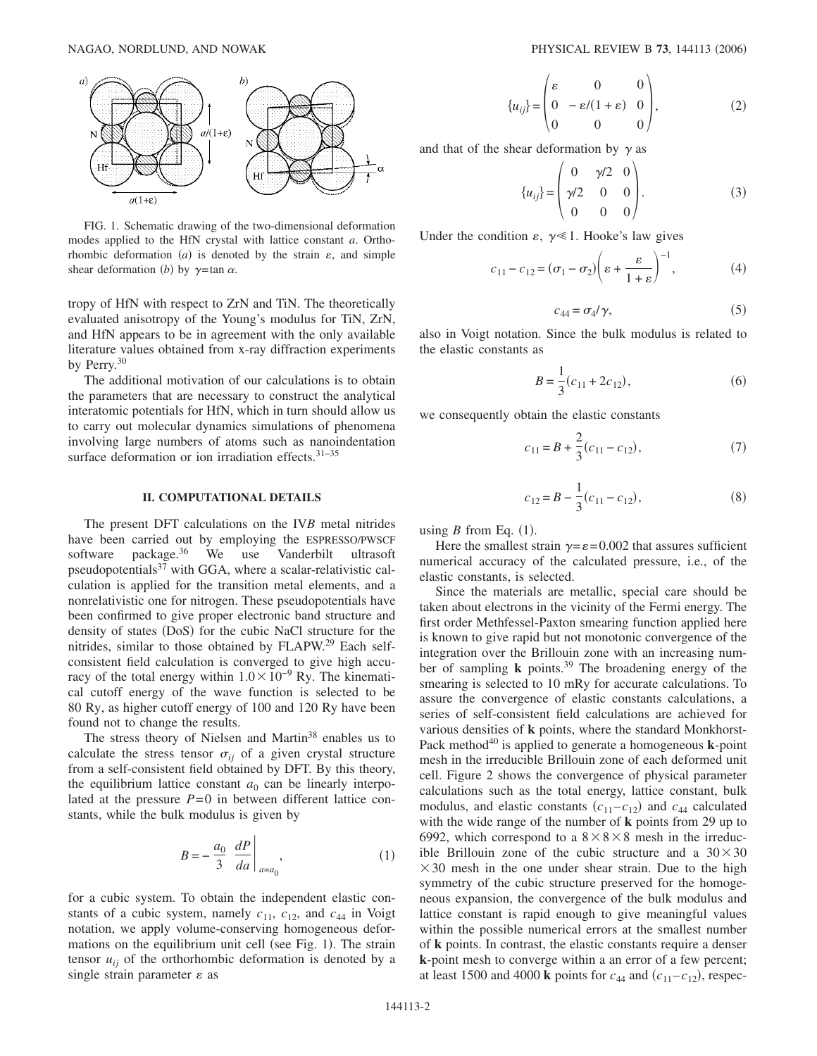

FIG. 1. Schematic drawing of the two-dimensional deformation modes applied to the HfN crystal with lattice constant *a*. Orthorhombic deformation  $(a)$  is denoted by the strain  $\varepsilon$ , and simple shear deformation *(b)* by  $\gamma$ =tan  $\alpha$ .

tropy of HfN with respect to ZrN and TiN. The theoretically evaluated anisotropy of the Young's modulus for TiN, ZrN, and HfN appears to be in agreement with the only available literature values obtained from x-ray diffraction experiments by Perry.<sup>30</sup>

The additional motivation of our calculations is to obtain the parameters that are necessary to construct the analytical interatomic potentials for HfN, which in turn should allow us to carry out molecular dynamics simulations of phenomena involving large numbers of atoms such as nanoindentation surface deformation or ion irradiation effects.<sup>31-35</sup>

#### **II. COMPUTATIONAL DETAILS**

The present DFT calculations on the IV*B* metal nitrides have been carried out by employing the ESPRESSO/PWSCF software package.<sup>36</sup> We use Vanderbilt ultrasoft pseudopotentials $37$  with GGA, where a scalar-relativistic calculation is applied for the transition metal elements, and a nonrelativistic one for nitrogen. These pseudopotentials have been confirmed to give proper electronic band structure and density of states (DoS) for the cubic NaCl structure for the nitrides, similar to those obtained by FLAPW.29 Each selfconsistent field calculation is converged to give high accuracy of the total energy within  $1.0 \times 10^{-9}$  Ry. The kinematical cutoff energy of the wave function is selected to be 80 Ry, as higher cutoff energy of 100 and 120 Ry have been found not to change the results.

The stress theory of Nielsen and Martin<sup>38</sup> enables us to calculate the stress tensor  $\sigma_{ij}$  of a given crystal structure from a self-consistent field obtained by DFT. By this theory, the equilibrium lattice constant  $a_0$  can be linearly interpolated at the pressure  $P=0$  in between different lattice constants, while the bulk modulus is given by

$$
B = -\frac{a_0}{3} \left. \frac{dP}{da} \right|_{a=a_0},\tag{1}
$$

for a cubic system. To obtain the independent elastic constants of a cubic system, namely  $c_{11}$ ,  $c_{12}$ , and  $c_{44}$  in Voigt notation, we apply volume-conserving homogeneous deformations on the equilibrium unit cell (see Fig. 1). The strain tensor  $u_{ij}$  of the orthorhombic deformation is denoted by a single strain parameter  $\varepsilon$  as

$$
\{u_{ij}\} = \begin{pmatrix} \varepsilon & 0 & 0\\ 0 & -\varepsilon/(1+\varepsilon) & 0\\ 0 & 0 & 0 \end{pmatrix},
$$
 (2)

and that of the shear deformation by  $\gamma$  as

$$
\{u_{ij}\} = \begin{pmatrix} 0 & \gamma/2 & 0 \\ \gamma/2 & 0 & 0 \\ 0 & 0 & 0 \end{pmatrix} . \tag{3}
$$

Under the condition  $\varepsilon$ ,  $\gamma \ll 1$ . Hooke's law gives

$$
c_{11} - c_{12} = (\sigma_1 - \sigma_2) \left( \varepsilon + \frac{\varepsilon}{1 + \varepsilon} \right)^{-1}, \tag{4}
$$

$$
c_{44} = \sigma_4/\gamma,\tag{5}
$$

also in Voigt notation. Since the bulk modulus is related to the elastic constants as

$$
B = \frac{1}{3}(c_{11} + 2c_{12}),
$$
\n(6)

we consequently obtain the elastic constants

$$
c_{11} = B + \frac{2}{3}(c_{11} - c_{12}),\tag{7}
$$

$$
c_{12} = B - \frac{1}{3}(c_{11} - c_{12}),
$$
\n(8)

using  $B$  from Eq.  $(1)$ .

Here the smallest strain  $\gamma = \varepsilon = 0.002$  that assures sufficient numerical accuracy of the calculated pressure, i.e., of the elastic constants, is selected.

Since the materials are metallic, special care should be taken about electrons in the vicinity of the Fermi energy. The first order Methfessel-Paxton smearing function applied here is known to give rapid but not monotonic convergence of the integration over the Brillouin zone with an increasing number of sampling **k** points.39 The broadening energy of the smearing is selected to 10 mRy for accurate calculations. To assure the convergence of elastic constants calculations, a series of self-consistent field calculations are achieved for various densities of **k** points, where the standard Monkhorst-Pack method<sup>40</sup> is applied to generate a homogeneous  $\bf{k}$ -point mesh in the irreducible Brillouin zone of each deformed unit cell. Figure 2 shows the convergence of physical parameter calculations such as the total energy, lattice constant, bulk modulus, and elastic constants  $(c_{11} - c_{12})$  and  $c_{44}$  calculated with the wide range of the number of **k** points from 29 up to 6992, which correspond to a  $8 \times 8 \times 8$  mesh in the irreducible Brillouin zone of the cubic structure and a  $30 \times 30$  $\times$  30 mesh in the one under shear strain. Due to the high symmetry of the cubic structure preserved for the homogeneous expansion, the convergence of the bulk modulus and lattice constant is rapid enough to give meaningful values within the possible numerical errors at the smallest number of **k** points. In contrast, the elastic constants require a denser **k**-point mesh to converge within a an error of a few percent; at least 1500 and 4000 **k** points for  $c_{44}$  and  $(c_{11} - c_{12})$ , respec-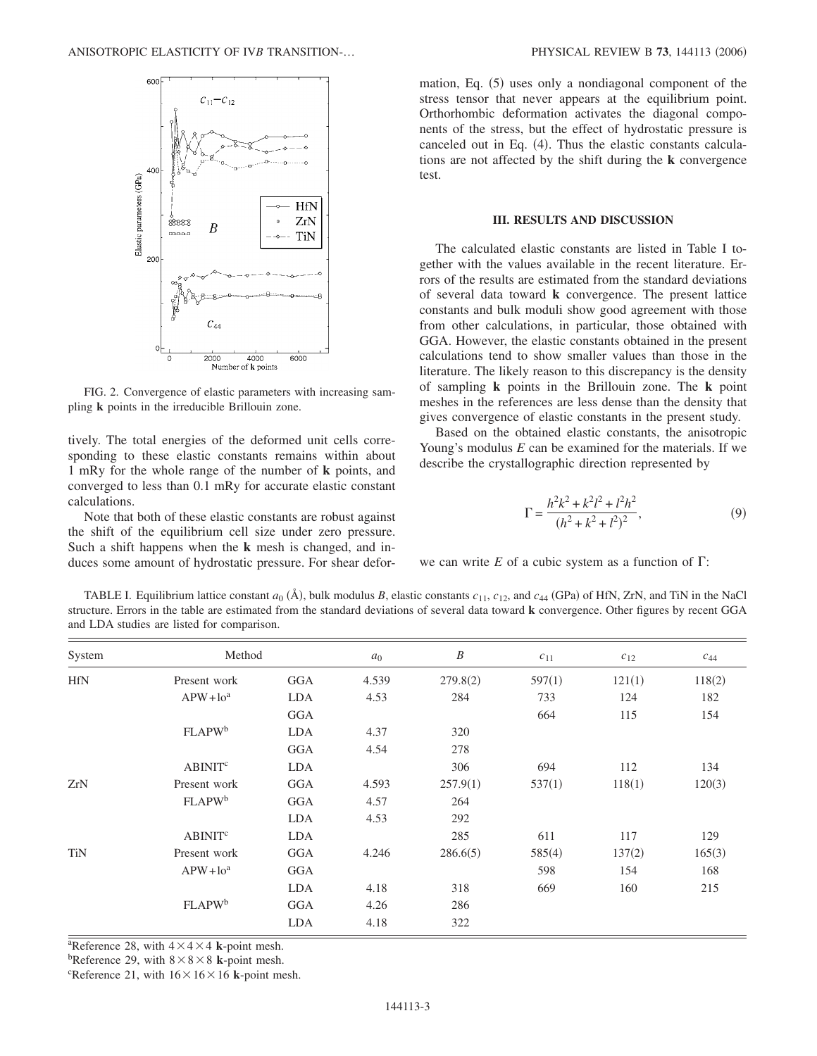

FIG. 2. Convergence of elastic parameters with increasing sampling **k** points in the irreducible Brillouin zone.

tively. The total energies of the deformed unit cells corresponding to these elastic constants remains within about 1 mRy for the whole range of the number of **k** points, and converged to less than 0.1 mRy for accurate elastic constant calculations.

Note that both of these elastic constants are robust against the shift of the equilibrium cell size under zero pressure. Such a shift happens when the **k** mesh is changed, and induces some amount of hydrostatic pressure. For shear defor-

mation, Eq. (5) uses only a nondiagonal component of the stress tensor that never appears at the equilibrium point. Orthorhombic deformation activates the diagonal components of the stress, but the effect of hydrostatic pressure is canceled out in Eq.  $(4)$ . Thus the elastic constants calculations are not affected by the shift during the **k** convergence test.

## **III. RESULTS AND DISCUSSION**

The calculated elastic constants are listed in Table I together with the values available in the recent literature. Errors of the results are estimated from the standard deviations of several data toward **k** convergence. The present lattice constants and bulk moduli show good agreement with those from other calculations, in particular, those obtained with GGA. However, the elastic constants obtained in the present calculations tend to show smaller values than those in the literature. The likely reason to this discrepancy is the density of sampling **k** points in the Brillouin zone. The **k** point meshes in the references are less dense than the density that gives convergence of elastic constants in the present study.

Based on the obtained elastic constants, the anisotropic Young's modulus *E* can be examined for the materials. If we describe the crystallographic direction represented by

$$
\Gamma = \frac{h^2k^2 + k^2l^2 + l^2h^2}{(h^2 + k^2 + l^2)^2},\tag{9}
$$

we can write  $E$  of a cubic system as a function of  $\Gamma$ :

TABLE I. Equilibrium lattice constant  $a_0$  ( $\AA$ ), bulk modulus *B*, elastic constants  $c_{11}$ ,  $c_{12}$ , and  $c_{44}$  (GPa) of HfN, ZrN, and TiN in the NaCl structure. Errors in the table are estimated from the standard deviations of several data toward **k** convergence. Other figures by recent GGA and LDA studies are listed for comparison.

| System     | Method                    |            | $a_0$ | $\boldsymbol{B}$ | $c_{11}$ | $c_{12}$ | $c_{44}$ |
|------------|---------------------------|------------|-------|------------------|----------|----------|----------|
| <b>HfN</b> | Present work              | GGA        | 4.539 | 279.8(2)         | 597(1)   | 121(1)   | 118(2)   |
|            | $APW + loa$               | LDA        | 4.53  | 284              | 733      | 124      | 182      |
|            |                           | GGA        |       |                  | 664      | 115      | 154      |
|            | <b>FLAPW</b> <sup>b</sup> | <b>LDA</b> | 4.37  | 320              |          |          |          |
|            |                           | <b>GGA</b> | 4.54  | 278              |          |          |          |
|            | <b>ABINIT<sup>c</sup></b> | <b>LDA</b> |       | 306              | 694      | 112      | 134      |
| ZrN        | Present work              | GGA        | 4.593 | 257.9(1)         | 537(1)   | 118(1)   | 120(3)   |
|            | <b>FLAPW</b> <sup>b</sup> | <b>GGA</b> | 4.57  | 264              |          |          |          |
|            |                           | LDA        | 4.53  | 292              |          |          |          |
|            | <b>ABINIT<sup>c</sup></b> | <b>LDA</b> |       | 285              | 611      | 117      | 129      |
| <b>TiN</b> | Present work              | GGA        | 4.246 | 286.6(5)         | 585(4)   | 137(2)   | 165(3)   |
|            | $APW+10^a$                | GGA        |       |                  | 598      | 154      | 168      |
|            |                           | LDA        | 4.18  | 318              | 669      | 160      | 215      |
|            | <b>FLAPW</b> <sup>b</sup> | GGA        | 4.26  | 286              |          |          |          |
|            |                           | LDA        | 4.18  | 322              |          |          |          |

<sup>a</sup>Reference 28, with  $4 \times 4 \times 4$  **k**-point mesh.

<sup>b</sup>Reference 29, with  $8 \times 8 \times 8$  **k**-point mesh.

<sup>c</sup>Reference 21, with  $16 \times 16 \times 16$  **k**-point mesh.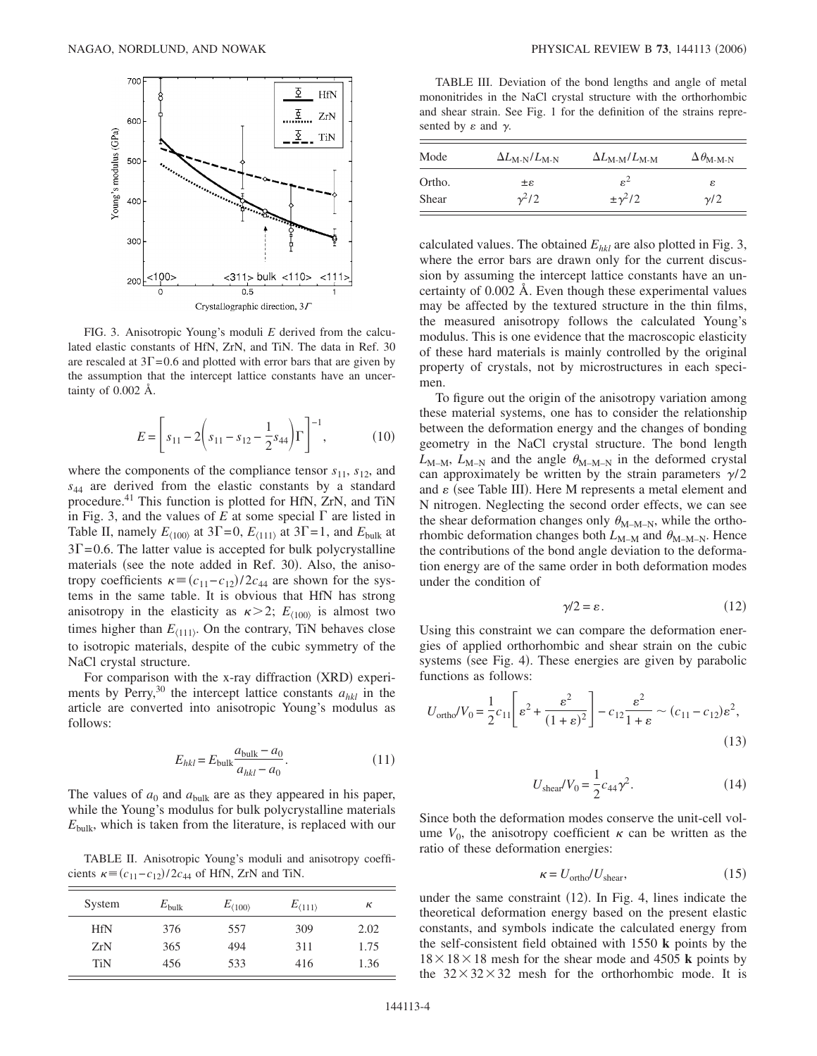

FIG. 3. Anisotropic Young's moduli *E* derived from the calculated elastic constants of HfN, ZrN, and TiN. The data in Ref. 30 are rescaled at  $3\Gamma$  = 0.6 and plotted with error bars that are given by the assumption that the intercept lattice constants have an uncertainty of 0.002 Å.

$$
E = \left[ s_{11} - 2 \left( s_{11} - s_{12} - \frac{1}{2} s_{44} \right) \Gamma \right]^{-1}, \tag{10}
$$

where the components of the compliance tensor  $s_{11}$ ,  $s_{12}$ , and *s*<sup>44</sup> are derived from the elastic constants by a standard procedure.<sup>41</sup> This function is plotted for HfN, ZrN, and TiN in Fig. 3, and the values of  $E$  at some special  $\Gamma$  are listed in Table II, namely  $E_{(100)}$  at 3 $\Gamma$  = 0,  $E_{(111)}$  at 3 $\Gamma$  = 1, and  $E_{\text{bulk}}$  at  $3\Gamma = 0.6$ . The latter value is accepted for bulk polycrystalline materials (see the note added in Ref. 30). Also, the anisotropy coefficients  $\kappa \equiv (c_{11} - c_{12})/2c_{44}$  are shown for the systems in the same table. It is obvious that HfN has strong anisotropy in the elasticity as  $\kappa > 2$ ;  $E_{\langle 100 \rangle}$  is almost two times higher than  $E_{(111)}$ . On the contrary, TiN behaves close to isotropic materials, despite of the cubic symmetry of the NaCl crystal structure.

For comparison with the x-ray diffraction (XRD) experiments by Perry,<sup>30</sup> the intercept lattice constants  $a_{hkl}$  in the article are converted into anisotropic Young's modulus as follows:

$$
E_{hkl} = E_{\text{bulk}} \frac{a_{\text{bulk}} - a_0}{a_{hkl} - a_0}.
$$
\n(11)

The values of  $a_0$  and  $a_{\text{bulk}}$  are as they appeared in his paper, while the Young's modulus for bulk polycrystalline materials *E*bulk, which is taken from the literature, is replaced with our

TABLE II. Anisotropic Young's moduli and anisotropy coefficients  $\kappa = (c_{11} - c_{12}) / 2c_{44}$  of HfN, ZrN and TiN.

| System     | $E_{\text{bulk}}$ | $E_{\langle 100\rangle}$ | $E_{\langle 111\rangle}$ | к    |
|------------|-------------------|--------------------------|--------------------------|------|
| <b>HfN</b> | 376               | 557                      | 309                      | 2.02 |
| ZrN        | 365               | 494                      | 311                      | 1.75 |
| TiN        | 456               | 533                      | 416                      | 1.36 |

TABLE III. Deviation of the bond lengths and angle of metal mononitrides in the NaCl crystal structure with the orthorhombic and shear strain. See Fig. 1 for the definition of the strains represented by  $\varepsilon$  and  $\gamma$ .

| Mode   | $\Delta L_{\text{M-N}}/L_{\text{M-N}}$ | $\Delta L_{\text{M-M}}/L_{\text{M-M}}$ | $\Delta \theta_{\text{M-M-N}}$ |
|--------|----------------------------------------|----------------------------------------|--------------------------------|
| Ortho. | $3\pm$                                 | $\varepsilon^2$                        | ε                              |
| Shear  | $\frac{\gamma^2}{2}$                   | $\pm \gamma^2/2$                       | $\gamma$ /2                    |

calculated values. The obtained  $E_{hkl}$  are also plotted in Fig. 3, where the error bars are drawn only for the current discussion by assuming the intercept lattice constants have an uncertainty of 0.002 Å. Even though these experimental values may be affected by the textured structure in the thin films, the measured anisotropy follows the calculated Young's modulus. This is one evidence that the macroscopic elasticity of these hard materials is mainly controlled by the original property of crystals, not by microstructures in each specimen.

To figure out the origin of the anisotropy variation among these material systems, one has to consider the relationship between the deformation energy and the changes of bonding geometry in the NaCl crystal structure. The bond length  $L_{M-M}$ ,  $L_{M-N}$  and the angle  $\theta_{M-M-N}$  in the deformed crystal can approximately be written by the strain parameters  $\gamma/2$ and  $\varepsilon$  (see Table III). Here M represents a metal element and N nitrogen. Neglecting the second order effects, we can see the shear deformation changes only  $\theta_{M-M-N}$ , while the orthorhombic deformation changes both  $L_{M-M}$  and  $\theta_{M-M-N}$ . Hence the contributions of the bond angle deviation to the deformation energy are of the same order in both deformation modes under the condition of

$$
\gamma/2 = \varepsilon. \tag{12}
$$

Using this constraint we can compare the deformation energies of applied orthorhombic and shear strain on the cubic systems (see Fig. 4). These energies are given by parabolic functions as follows:

$$
U_{\text{ortho}}/V_0 = \frac{1}{2}c_{11}\left[\varepsilon^2 + \frac{\varepsilon^2}{(1+\varepsilon)^2}\right] - c_{12}\frac{\varepsilon^2}{1+\varepsilon} \sim (c_{11} - c_{12})\varepsilon^2,
$$
\n(13)

$$
U_{\text{shear}}/V_0 = \frac{1}{2}c_{44}\gamma^2.
$$
 (14)

Since both the deformation modes conserve the unit-cell volume  $V_0$ , the anisotropy coefficient  $\kappa$  can be written as the ratio of these deformation energies:

$$
\kappa = U_{\text{ortho}} / U_{\text{shear}},\tag{15}
$$

under the same constraint  $(12)$ . In Fig. 4, lines indicate the theoretical deformation energy based on the present elastic constants, and symbols indicate the calculated energy from the self-consistent field obtained with 1550 **k** points by the  $18 \times 18 \times 18$  mesh for the shear mode and 4505 **k** points by the  $32\times32\times32$  mesh for the orthorhombic mode. It is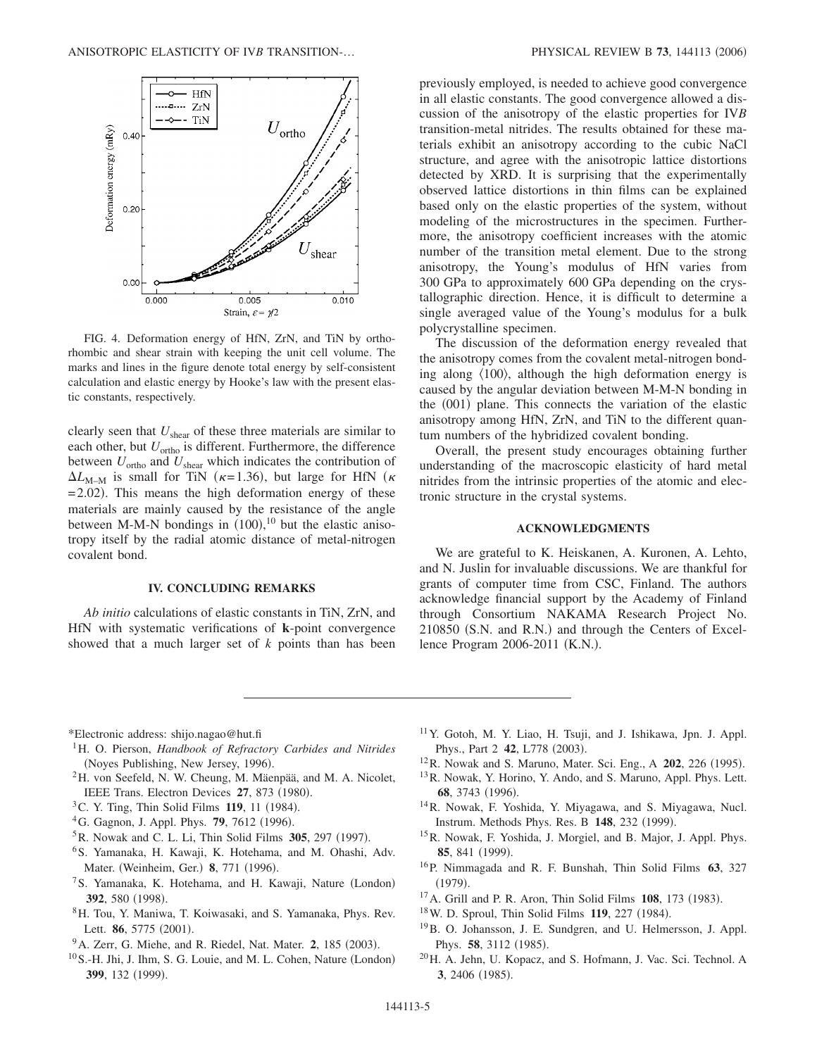

FIG. 4. Deformation energy of HfN, ZrN, and TiN by orthorhombic and shear strain with keeping the unit cell volume. The marks and lines in the figure denote total energy by self-consistent calculation and elastic energy by Hooke's law with the present elastic constants, respectively.

clearly seen that *U*shear of these three materials are similar to each other, but  $U_{\text{ortho}}$  is different. Furthermore, the difference between  $U_{\text{ortho}}$  and  $U_{\text{shear}}$  which indicates the contribution of  $\Delta L_{M-M}$  is small for TiN ( $\kappa$ =1.36), but large for HfN ( $\kappa$  $= 2.02$ ). This means the high deformation energy of these materials are mainly caused by the resistance of the angle between M-M-N bondings in  $(100),^{10}$  but the elastic anisotropy itself by the radial atomic distance of metal-nitrogen covalent bond.

### **IV. CONCLUDING REMARKS**

*Ab initio* calculations of elastic constants in TiN, ZrN, and HfN with systematic verifications of **k**-point convergence showed that a much larger set of *k* points than has been previously employed, is needed to achieve good convergence in all elastic constants. The good convergence allowed a discussion of the anisotropy of the elastic properties for IV*B* transition-metal nitrides. The results obtained for these materials exhibit an anisotropy according to the cubic NaCl structure, and agree with the anisotropic lattice distortions detected by XRD. It is surprising that the experimentally observed lattice distortions in thin films can be explained based only on the elastic properties of the system, without modeling of the microstructures in the specimen. Furthermore, the anisotropy coefficient increases with the atomic number of the transition metal element. Due to the strong anisotropy, the Young's modulus of HfN varies from 300 GPa to approximately 600 GPa depending on the crystallographic direction. Hence, it is difficult to determine a single averaged value of the Young's modulus for a bulk polycrystalline specimen.

The discussion of the deformation energy revealed that the anisotropy comes from the covalent metal-nitrogen bonding along  $\langle 100 \rangle$ , although the high deformation energy is caused by the angular deviation between M-M-N bonding in the (001) plane. This connects the variation of the elastic anisotropy among HfN, ZrN, and TiN to the different quantum numbers of the hybridized covalent bonding.

Overall, the present study encourages obtaining further understanding of the macroscopic elasticity of hard metal nitrides from the intrinsic properties of the atomic and electronic structure in the crystal systems.

# **ACKNOWLEDGMENTS**

We are grateful to K. Heiskanen, A. Kuronen, A. Lehto, and N. Juslin for invaluable discussions. We are thankful for grants of computer time from CSC, Finland. The authors acknowledge financial support by the Academy of Finland through Consortium NAKAMA Research Project No. 210850 (S.N. and R.N.) and through the Centers of Excellence Program 2006-2011 (K.N.).

\*Electronic address: shijo.nagao@hut.fi

- <sup>1</sup>H. O. Pierson, *Handbook of Refractory Carbides and Nitrides* (Noyes Publishing, New Jersey, 1996).
- 2H. von Seefeld, N. W. Cheung, M. Mäenpää, and M. A. Nicolet, IEEE Trans. Electron Devices 27, 873 (1980).
- <sup>3</sup> C. Y. Ting, Thin Solid Films **119**, 11 (1984).
- <sup>4</sup>G. Gagnon, J. Appl. Phys. **79**, 7612 (1996).
- <sup>5</sup> R. Nowak and C. L. Li, Thin Solid Films 305, 297 (1997).
- 6S. Yamanaka, H. Kawaji, K. Hotehama, and M. Ohashi, Adv. Mater. (Weinheim, Ger.) 8, 771 (1996).
- <sup>7</sup>S. Yamanaka, K. Hotehama, and H. Kawaji, Nature (London) **392**, 580 (1998).
- 8H. Tou, Y. Maniwa, T. Koiwasaki, and S. Yamanaka, Phys. Rev. Lett. **86**, 5775 (2001).
- <sup>9</sup> A. Zerr, G. Miehe, and R. Riedel, Nat. Mater. 2, 185 (2003).
- <sup>10</sup> S.-H. Jhi, J. Ihm, S. G. Louie, and M. L. Cohen, Nature (London) **399**, 132 (1999).
- 11Y. Gotoh, M. Y. Liao, H. Tsuji, and J. Ishikawa, Jpn. J. Appl. Phys., Part 2 **42**, L778 (2003).
- <sup>12</sup> R. Nowak and S. Maruno, Mater. Sci. Eng., A **202**, 226 (1995).
- 13R. Nowak, Y. Horino, Y. Ando, and S. Maruno, Appl. Phys. Lett. 68, 3743 (1996).
- 14R. Nowak, F. Yoshida, Y. Miyagawa, and S. Miyagawa, Nucl. Instrum. Methods Phys. Res. B 148, 232 (1999).
- 15R. Nowak, F. Yoshida, J. Morgiel, and B. Major, J. Appl. Phys. **85**, 841 (1999).
- 16P. Nimmagada and R. F. Bunshah, Thin Solid Films **63**, 327  $(1979).$
- <sup>17</sup> A. Grill and P. R. Aron, Thin Solid Films **108**, 173 (1983).
- <sup>18</sup> W. D. Sproul, Thin Solid Films **119**, 227 (1984).
- 19B. O. Johansson, J. E. Sundgren, and U. Helmersson, J. Appl. Phys. **58**, 3112 (1985).
- 20H. A. Jehn, U. Kopacz, and S. Hofmann, J. Vac. Sci. Technol. A **3**, 2406 (1985).